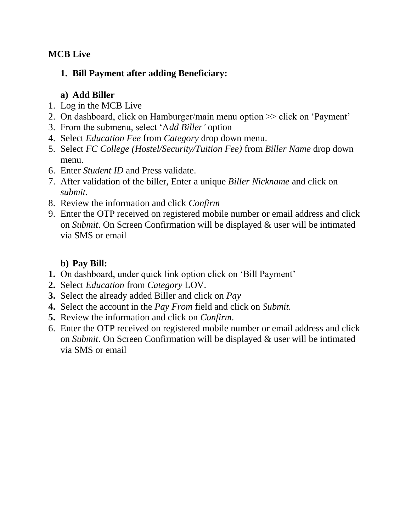#### **MCB Live**

#### **1. Bill Payment after adding Beneficiary:**

#### **a) Add Biller**

- 1. Log in the MCB Live
- 2. On dashboard, click on Hamburger/main menu option >> click on 'Payment'
- 3. From the submenu, select 'A*dd Biller'* option
- 4. Select *Education Fee* from *Category* drop down menu.
- 5. Select *FC College (Hostel/Security/Tuition Fee)* from *Biller Name* drop down menu.
- 6. Enter *Student ID* and Press validate.
- 7. After validation of the biller, Enter a unique *Biller Nickname* and click on *submit.*
- 8. Review the information and click *Confirm*
- 9. Enter the OTP received on registered mobile number or email address and click on *Submit*. On Screen Confirmation will be displayed & user will be intimated via SMS or email

### **b) Pay Bill:**

- **1.** On dashboard, under quick link option click on 'Bill Payment'
- **2.** Select *Education* from *Category* LOV.
- **3.** Select the already added Biller and click on *Pay*
- **4.** Select the account in the *Pay From* field and click on *Submit.*
- **5.** Review the information and click on *Confirm*.
- 6. Enter the OTP received on registered mobile number or email address and click on *Submit*. On Screen Confirmation will be displayed & user will be intimated via SMS or email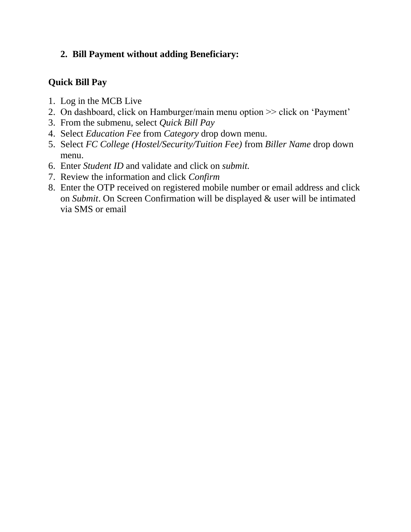#### **2. Bill Payment without adding Beneficiary:**

#### **Quick Bill Pay**

- 1. Log in the MCB Live
- 2. On dashboard, click on Hamburger/main menu option >> click on 'Payment'
- 3. From the submenu, select *Quick Bill Pay*
- 4. Select *Education Fee* from *Category* drop down menu.
- 5. Select *FC College (Hostel/Security/Tuition Fee)* from *Biller Name* drop down menu.
- 6. Enter *Student ID* and validate and click on *submit.*
- 7. Review the information and click *Confirm*
- 8. Enter the OTP received on registered mobile number or email address and click on *Submit*. On Screen Confirmation will be displayed & user will be intimated via SMS or email